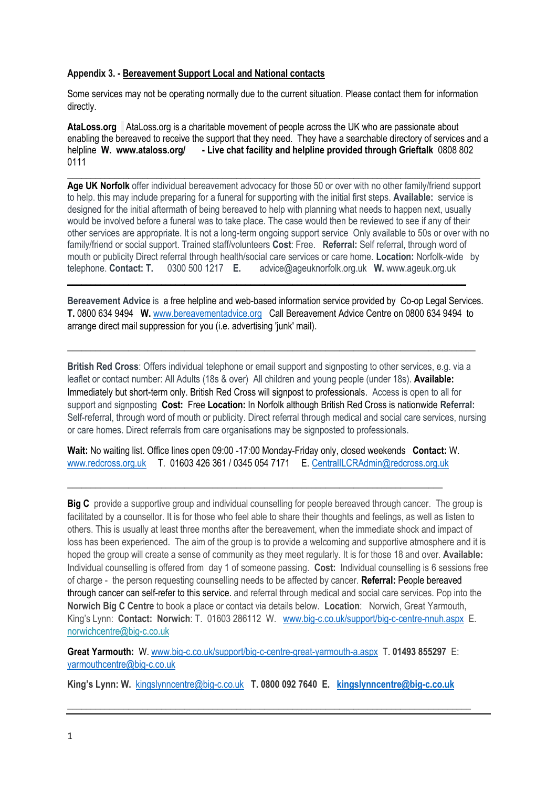### **Appendix 3. - Bereavement Support Local and National contacts**

Some services may not be operating normally due to the current situation. Please contact them for information directly.

**AtaLoss.org** AtaLoss.org is a charitable movement of people across the UK who are passionate about enabling the bereaved to receive the support that they need. They have a searchable directory of services and a helpline **W. www.ataloss.org/ - Live chat facility and helpline provided through Grieftalk** 0808 802 0111

**\_\_\_\_\_\_\_\_\_\_\_\_\_\_\_\_\_\_\_\_\_\_\_\_\_\_\_\_\_\_\_\_\_\_\_\_\_\_\_\_\_\_\_\_\_\_\_\_\_\_\_\_\_\_\_\_\_\_\_\_\_\_\_\_\_\_\_\_\_\_\_\_\_\_\_\_\_\_\_\_\_\_\_\_\_\_\_\_ Age UK Norfolk** offer individual bereavement advocacy for those 50 or over with no other family/friend support to help. this may include preparing for a funeral for supporting with the initial first steps. **Available:** service is designed for the initial aftermath of being bereaved to help with planning what needs to happen next, usually would be involved before a funeral was to take place. The case would then be reviewed to see if any of their other services are appropriate. It is not a long-term ongoing support service Only available to 50s or over with no family/friend or social support. Trained staff/volunteers **Cost**: Free. **Referral:** Self referral, through word of mouth or publicity Direct referral through health/social care services or care home. **Location:** Norfolk-wide by telephone. **Contact: T.** 0300 500 1217 **E.** advice@ageuknorfolk.org.uk **W.** www.ageuk.org.uk **\_\_\_\_\_\_\_\_\_\_\_\_\_\_\_\_\_\_\_\_\_\_\_\_\_\_\_\_\_\_\_\_\_\_\_\_\_\_\_\_\_\_\_\_\_\_\_\_\_\_\_\_\_\_\_\_\_\_\_\_\_\_\_\_\_\_\_\_\_\_\_\_\_\_\_\_\_\_\_\_\_\_\_\_\_**

**Bereavement Advice** is a free helpline and web-based information service provided by Co-op Legal Services. **T.** 0800 634 9494 **W.** [www.bereavementadvice.org](http://www.bereavementadvice.org/) Call Bereavement Advice Centre on 0800 634 9494 to arrange direct mail suppression for you (i.e. advertising 'junk' mail).

\_\_\_\_\_\_\_\_\_\_\_\_\_\_\_\_\_\_\_\_\_\_\_\_\_\_\_\_\_\_\_\_\_\_\_\_\_\_\_\_\_\_\_\_\_\_\_\_\_\_\_\_\_\_\_\_\_\_\_\_\_\_\_\_\_\_\_\_\_\_\_\_\_\_\_\_\_\_\_\_\_\_\_\_\_\_\_

**British Red Cross**: Offers individual telephone or email support and signposting to other services, e.g. via a leaflet or contact number: All Adults (18s & over) All children and young people (under 18s). **Available:** Immediately but short-term only. British Red Cross will signpost to professionals. Access is open to all for support and signposting **Cost:** Free **Location:** In Norfolk although British Red Cross is nationwide **Referral:** Self-referral, through word of mouth or publicity. Direct referral through medical and social care services, nursing or care homes. Direct referrals from care organisations may be signposted to professionals.

**Wait:** No waiting list. Office lines open 09:00 -17:00 Monday-Friday only, closed weekends **Contact:** W. [www.redcross.org.uk](http://www.redcross.org.uk/) T. 01603 426 361 / 0345 054 7171 E. [CentralILCRAdmin@redcross.org.uk](mailto:CentralILCRAdmin@redcross.org.uk)

\_\_\_\_\_\_\_\_\_\_\_\_\_\_\_\_\_\_\_\_\_\_\_\_\_\_\_\_\_\_\_\_\_\_\_\_\_\_\_\_\_\_\_\_\_\_\_\_\_\_\_\_\_\_\_\_\_\_\_\_\_\_\_\_\_\_\_\_\_\_\_\_\_\_\_\_\_\_\_\_

**Big C** provide a supportive group and individual counselling for people bereaved through cancer. The group is facilitated by a counsellor. It is for those who feel able to share their thoughts and feelings, as well as listen to others. This is usually at least three months after the bereavement, when the immediate shock and impact of loss has been experienced. The aim of the group is to provide a welcoming and supportive atmosphere and it is hoped the group will create a sense of community as they meet regularly. It is for those 18 and over. **Available:** Individual counselling is offered from day 1 of someone passing. **Cost:** Individual counselling is 6 sessions free of charge - the person requesting counselling needs to be affected by cancer. **Referral:** People bereaved through cancer can self-refer to this service. and referral through medical and social care services. Pop into the **Norwich Big C Centre** to book a place or contact via details below. **Location**: Norwich, Great Yarmouth, King's Lynn: **Contact: Norwich**: T. 01603 286112 W. [www.big-c.co.uk/support/big-c-centre-nnuh.aspx](http://www.big-c.co.uk/support/big-c-centre-nnuh.aspx) E. [norwichcentre@big-c.co.uk](mailto:norwichcentre@big-c.co.uk)

**Great Yarmouth:** W[. www.big-c.co.uk/support/big-c-centre-great-yarmouth-a.aspx](http://www.big-c.co.uk/support/big-c-centre-great-yarmouth-a.aspx) T. **01493 855297** E: [yarmouthcentre@big-c.co.uk](mailto:yarmouthcentre@big-c.co.uk)

**King's Lynn: W.** [kingslynncentre@big-c.co.uk](mailto:kingslynncentre@big-c.co.uk) **T. 0800 092 7640 E. [kingslynncentre@big-c.co.uk](mailto:kingslynncentre@big-c.co.uk)**

**\_\_\_\_\_\_\_\_\_\_\_\_\_\_\_\_\_\_\_\_\_\_\_\_\_\_\_\_\_\_\_\_\_\_\_\_\_\_\_\_\_\_\_\_\_\_\_\_\_\_\_\_\_\_\_\_\_\_\_\_\_\_\_\_\_\_\_\_\_\_\_\_\_\_\_\_\_\_\_\_\_\_\_\_\_\_**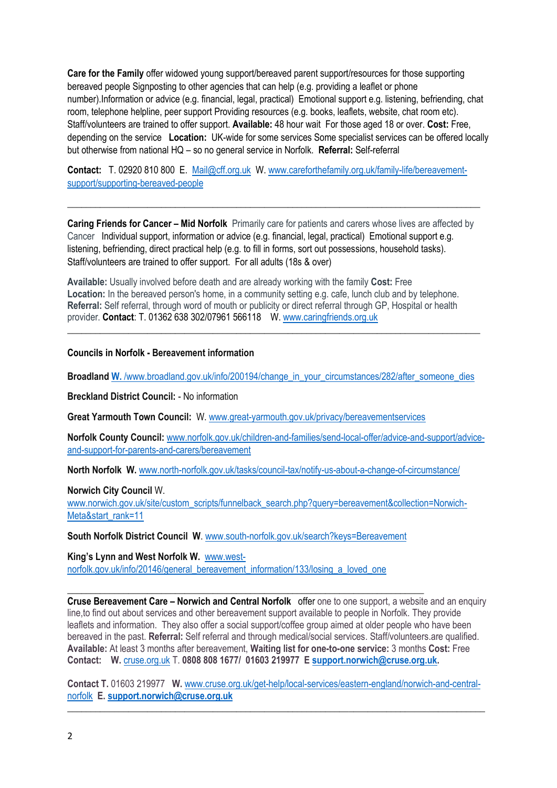**Care for the Family** offer widowed young support/bereaved parent support/resources for those supporting bereaved people Signposting to other agencies that can help (e.g. providing a leaflet or phone number).Information or advice (e.g. financial, legal, practical) Emotional support e.g. listening, befriending, chat room, telephone helpline, peer support Providing resources (e.g. books, leaflets, website, chat room etc). Staff/volunteers are trained to offer support. **Available:** 48 hour wait For those aged 18 or over. **Cost:** Free, depending on the service **Location:** UK-wide for some services Some specialist services can be offered locally but otherwise from national HQ – so no general service in Norfolk. **Referral:** Self-referral

**Contact:** T. 02920 810 800 E. [Mail@cff.org.uk](mailto:Mail@cff.org.uk) W[. www.careforthefamily.org.uk/family-life/bereavement](http://www.careforthefamily.org.uk/family-life/bereavement-support/supporting-bereaved-people)[support/supporting-bereaved-people](http://www.careforthefamily.org.uk/family-life/bereavement-support/supporting-bereaved-people)

**Caring Friends for Cancer – Mid Norfolk** Primarily care for patients and carers whose lives are affected by Cancer Individual support, information or advice (e.g. financial, legal, practical) Emotional support e.g. listening, befriending, direct practical help (e.g. to fill in forms, sort out possessions, household tasks). Staff/volunteers are trained to offer support. For all adults (18s & over)

\_\_\_\_\_\_\_\_\_\_\_\_\_\_\_\_\_\_\_\_\_\_\_\_\_\_\_\_\_\_\_\_\_\_\_\_\_\_\_\_\_\_\_\_\_\_\_\_\_\_\_\_\_\_\_\_\_\_\_\_\_\_\_\_\_\_\_\_\_\_\_\_\_\_\_\_\_\_\_\_\_\_\_\_\_\_\_\_

**Available:** Usually involved before death and are already working with the family **Cost:** Free **Location:** In the bereaved person's home, in a community setting e.g. cafe, lunch club and by telephone. **Referral:** Self referral, through word of mouth or publicity or direct referral through GP, Hospital or health provider. **Contact**: T. 01362 638 302/07961 566118 W[. www.caringfriends.org.uk](http://www.caringfriends.org.uk/)

**Councils in Norfolk - Bereavement information**

**Broadland W.** [/www.broadland.gov.uk/info/200194/change\\_in\\_your\\_circumstances/282/after\\_someone\\_dies](https://www.broadland.gov.uk/info/200194/change_in_your_circumstances/282/after_someone_dies)

\_\_\_\_\_\_\_\_\_\_\_\_\_\_\_\_\_\_\_\_\_\_\_\_\_\_\_\_\_\_\_\_\_\_\_\_\_\_\_\_\_\_\_\_\_\_\_\_\_\_\_\_\_\_\_\_\_\_\_\_\_\_\_\_\_\_\_\_\_\_\_\_\_\_\_\_\_\_\_\_\_\_\_\_\_\_\_\_

**Breckland District Council:** - No information

**Great Yarmouth Town Council:** W. [www.great-yarmouth.gov.uk/privacy/bereavementservices](http://www.great-yarmouth.gov.uk/privacy/bereavementservices)

**Norfolk County Council:** [www.norfolk.gov.uk/children-and-families/send-local-offer/advice-and-support/advice](https://www.norfolk.gov.uk/children-and-families/send-local-offer/advice-and-support/advice-and-support-for-parents-and-carers/bereavement)[and-support-for-parents-and-carers/bereavement](https://www.norfolk.gov.uk/children-and-families/send-local-offer/advice-and-support/advice-and-support-for-parents-and-carers/bereavement)

**North Norfolk W.** [www.north-norfolk.gov.uk/tasks/council-tax/notify-us-about-a-change-of-circumstance/](http://www.north-norfolk.gov.uk/tasks/council-tax/notify-us-about-a-change-of-circumstance/) 

**Norwich City Council** W.

[www.norwich.gov.uk/site/custom\\_scripts/funnelback\\_search.php?query=bereavement&collection=Norwich-](http://www.norwich.gov.uk/site/custom_scripts/funnelback_search.php?query=bereavement&collection=Norwich-Meta&start_rank=11)[Meta&start\\_rank=11](http://www.norwich.gov.uk/site/custom_scripts/funnelback_search.php?query=bereavement&collection=Norwich-Meta&start_rank=11)

**South Norfolk District Council W**[. www.south-norfolk.gov.uk/search?keys=Bereavement](http://www.south-norfolk.gov.uk/search?keys=Bereavement)

**King's Lynn and West Norfolk W.** [www.west](http://www.west-norfolk.gov.uk/info/20146/general_bereavement_information/133/losing_a_loved_one)[norfolk.gov.uk/info/20146/general\\_bereavement\\_information/133/losing\\_a\\_loved\\_one](http://www.west-norfolk.gov.uk/info/20146/general_bereavement_information/133/losing_a_loved_one)

**\_\_\_\_\_\_\_\_\_\_\_\_\_\_\_\_\_\_\_\_\_\_\_\_\_\_\_\_\_\_\_\_\_\_\_\_\_\_\_\_\_\_\_\_\_\_\_\_\_\_\_\_\_\_\_\_\_\_\_\_\_\_\_\_\_\_\_\_\_\_\_\_\_\_\_\_ Cruse Bereavement Care – Norwich and Central Norfolk** offer one to one support, a website and an enquiry line,to find out about services and other bereavement support available to people in Norfolk. They provide leaflets and information. They also offer a social support/coffee group aimed at older people who have been bereaved in the past. **Referral:** Self referral and through medical/social services. Staff/volunteers.are qualified. **Available:** At least 3 months after bereavement, **Waiting list for one-to-one service:** 3 months **Cost:** Free **Contact: W.** [cruse.org.uk](https://www.cruse.org.uk/) T. **0808 808 1677/ 01603 219977 E [support.norwich@cruse.org.uk.](mailto:support.norwich@cruse.org.uk)** 

**Contact T.** 01603 219977 **W.** [www.cruse.org.uk/get-help/local-services/eastern-england/norwich-and-central](http://www.cruse.org.uk/get-help/local-services/eastern-england/norwich-and-central-norfolk)[norfolk](http://www.cruse.org.uk/get-help/local-services/eastern-england/norwich-and-central-norfolk) **E. [support.norwich@cruse.org.uk](mailto:support.norwich@cruse.org.uk)** \_\_\_\_\_\_\_\_\_\_\_\_\_\_\_\_\_\_\_\_\_\_\_\_\_\_\_\_\_\_\_\_\_\_\_\_\_\_\_\_\_\_\_\_\_\_\_\_\_\_\_\_\_\_\_\_\_\_\_\_\_\_\_\_\_\_\_\_\_\_\_\_\_\_\_\_\_\_\_\_\_\_\_\_\_\_\_\_\_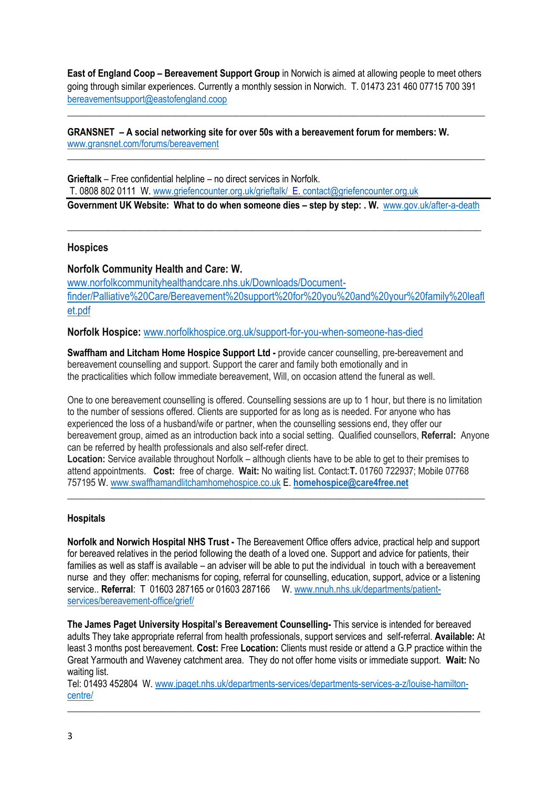**East of England Coop – Bereavement Support Group** in Norwich is aimed at allowing people to meet others going through similar experiences. Currently a monthly session in Norwich. T. 01473 231 460 07715 700 391 [bereavementsupport@eastofengland.coop](mailto:bereavementsupport@eastofengland.coop)

\_\_\_\_\_\_\_\_\_\_\_\_\_\_\_\_\_\_\_\_\_\_\_\_\_\_\_\_\_\_\_\_\_\_\_\_\_\_\_\_\_\_\_\_\_\_\_\_\_\_\_\_\_\_\_\_\_\_\_\_\_\_\_\_\_\_\_\_\_\_\_\_\_\_\_\_\_\_\_\_\_\_\_\_\_\_\_\_\_

**\_\_\_\_\_\_\_\_\_\_\_\_\_\_\_\_\_\_\_\_\_\_\_\_\_\_\_\_\_\_\_\_\_\_\_\_\_\_\_\_\_\_\_\_\_\_\_\_\_\_\_\_\_\_\_\_\_\_\_\_\_\_\_\_\_\_\_\_\_\_\_\_\_\_\_\_\_\_\_\_\_\_\_\_\_\_\_\_\_**

## **GRANSNET – A social networking site for over 50s with a bereavement forum for members: W.**  [www.gransnet.com/forums/bereavement](http://www.gransnet.com/forums/bereavement)

**Grieftalk** – Free confidential helpline – no direct services in Norfolk. T. 0808 802 0111 W. [www.griefencounter.org.uk/grieftalk/](http://www.griefencounter.org.uk/grieftalk/) E[. contact@griefencounter.org.uk](mailto:contact@griefencounter.org.uk)

**Government UK Website: What to do when someone dies - step by step: . W. [www.gov.uk/after-a-death](https://www.gov.uk/after-a-death)** 

**\_\_\_\_\_\_\_\_\_\_\_\_\_\_\_\_\_\_\_\_\_\_\_\_\_\_\_\_\_\_\_\_\_\_\_\_\_\_\_\_\_\_\_\_\_\_\_\_\_\_\_\_\_\_\_\_\_\_\_\_\_\_\_\_\_\_\_\_\_\_\_\_\_\_\_\_\_\_\_\_\_**

## **Hospices**

## **Norfolk Community Health and Care: W.**

[www.norfolkcommunityhealthandcare.nhs.uk/Downloads/Document](http://www.norfolkcommunityhealthandcare.nhs.uk/Downloads/Document-finder/Palliative%20Care/Bereavement%20support%20for%20you%20and%20your%20family%20leaflet.pdf)[finder/Palliative%20Care/Bereavement%20support%20for%20you%20and%20your%20family%20leafl](http://www.norfolkcommunityhealthandcare.nhs.uk/Downloads/Document-finder/Palliative%20Care/Bereavement%20support%20for%20you%20and%20your%20family%20leaflet.pdf) [et.pdf](http://www.norfolkcommunityhealthandcare.nhs.uk/Downloads/Document-finder/Palliative%20Care/Bereavement%20support%20for%20you%20and%20your%20family%20leaflet.pdf)

**Norfolk Hospice:** [www.norfolkhospice.org.uk/support-for-you-when-someone-has-died](http://www.norfolkhospice.org.uk/support-for-you-when-someone-has-died)

**Swaffham and Litcham Home Hospice Support Ltd -** provide cancer counselling, pre-bereavement and bereavement counselling and support. Support the carer and family both emotionally and in the practicalities which follow immediate bereavement, Will, on occasion attend the funeral as well.

One to one bereavement counselling is offered. Counselling sessions are up to 1 hour, but there is no limitation to the number of sessions offered. Clients are supported for as long as is needed. For anyone who has experienced the loss of a husband/wife or partner, when the counselling sessions end, they offer our bereavement group, aimed as an introduction back into a social setting. Qualified counsellors, **Referral:** Anyone can be referred by health professionals and also self-refer direct.

**Location:** Service available throughout Norfolk – although clients have to be able to get to their premises to attend appointments. **Cost:** free of charge. **Wait:** No waiting list. Contact:**T.** 01760 722937; Mobile 07768 757195 W. [www.swaffhamandlitchamhomehospice.co.uk](http://www.swaffhamandlitchamhomehospice.co.uk/) E. **[homehospice@care4free.net](mailto:homehospice@care4free.net)**

**\_\_\_\_\_\_\_\_\_\_\_\_\_\_\_\_\_\_\_\_\_\_\_\_\_\_\_\_\_\_\_\_\_\_\_\_\_\_\_\_\_\_\_\_\_\_\_\_\_\_\_\_\_\_\_\_\_\_\_\_\_\_\_\_\_\_\_\_\_\_\_\_\_\_\_\_\_\_\_\_\_\_\_\_\_\_\_\_\_**

### **Hospitals**

**Norfolk and Norwich Hospital NHS Trust -** The Bereavement Office offers advice, practical help and support for bereaved relatives in the period following the death of a loved one. Support and advice for patients, their families as well as staff is available – an adviser will be able to put the individual in touch with a bereavement nurse and they offer: mechanisms for coping, referral for counselling, education, support, advice or a listening service.. **Referral**: T 01603 287165 or 01603 287166 W[. www.nnuh.nhs.uk/departments/patient](http://www.nnuh.nhs.uk/departments/patient-services/bereavement-office/grief/)[services/bereavement-office/grief/](http://www.nnuh.nhs.uk/departments/patient-services/bereavement-office/grief/) 

**The James Paget University Hospital's Bereavement Counselling-** This service is intended for bereaved adults They take appropriate referral from health professionals, support services and self-referral. **Available:** At least 3 months post bereavement. **Cost:** Free **Location:** Clients must reside or attend a G.P practice within the Great Yarmouth and Waveney catchment area. They do not offer home visits or immediate support. **Wait:** No waiting list.

Tel: 01493 452804 W. [www.jpaget.nhs.uk/departments-services/departments-services-a-z/louise-hamilton](http://www.jpaget.nhs.uk/departments-services/departments-services-a-z/louise-hamilton-centre/)[centre/](http://www.jpaget.nhs.uk/departments-services/departments-services-a-z/louise-hamilton-centre/)

\_\_\_\_\_\_\_\_\_\_\_\_\_\_\_\_\_\_\_\_\_\_\_\_\_\_\_\_\_\_\_\_\_\_\_\_\_\_\_\_\_\_\_\_\_\_\_\_\_\_\_\_\_\_\_\_\_\_\_\_\_\_\_\_\_\_\_\_\_\_\_\_\_\_\_\_\_\_\_\_\_\_\_\_\_\_\_\_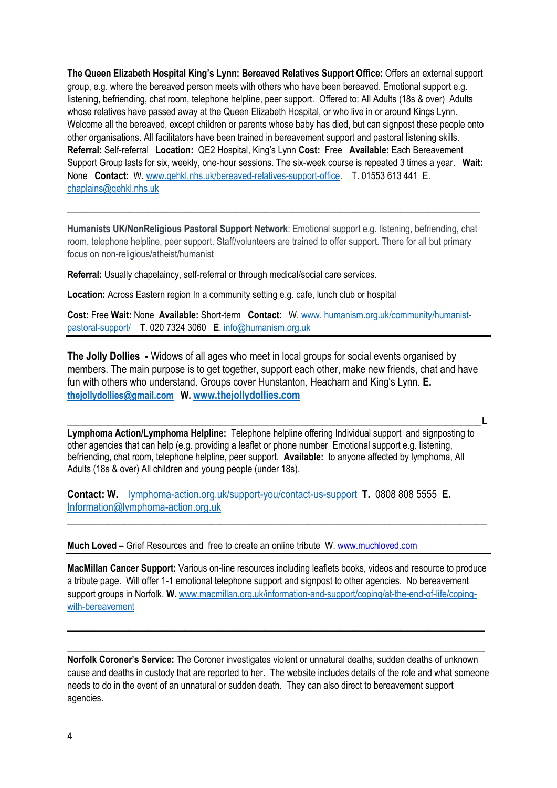**The Queen Elizabeth Hospital King's Lynn: Bereaved Relatives Support Office:** Offers an external support group, e.g. where the bereaved person meets with others who have been bereaved. Emotional support e.g. listening, befriending, chat room, telephone helpline, peer support. Offered to: All Adults (18s & over) Adults whose relatives have passed away at the Queen Elizabeth Hospital, or who live in or around Kings Lynn. Welcome all the bereaved, except children or parents whose baby has died, but can signpost these people onto other organisations. All facilitators have been trained in bereavement support and pastoral listening skills. **Referral:** Self-referral **Location:** QE2 Hospital, King's Lynn **Cost:** Free **Available:** Each Bereavement Support Group lasts for six, weekly, one-hour sessions. The six-week course is repeated 3 times a year. **Wait:** None **Contact:** W. [www.qehkl.nhs.uk/bereaved-relatives-support-office.](http://www.qehkl.nhs.uk/bereaved-relatives-support-office) T. 01553 613 441 E. [chaplains@qehkl.nhs.uk](mailto:chaplains@qehkl.nhs.uk) 

**Humanists UK/NonReligious Pastoral Support Network**: Emotional support e.g. listening, befriending, chat room, telephone helpline, peer support. Staff/volunteers are trained to offer support. There for all but primary focus on non-religious/atheist/humanist

**\_\_\_\_\_\_\_\_\_\_\_\_\_\_\_\_\_\_\_\_\_\_\_\_\_\_\_\_\_\_\_\_\_\_\_\_\_\_\_\_\_\_\_\_\_\_\_\_\_\_\_\_\_\_\_\_\_\_\_\_\_\_\_\_\_\_\_\_\_\_\_\_\_\_\_\_\_\_\_\_\_\_\_\_\_\_\_\_**

**Referral:** Usually chapelaincy, self-referral or through medical/social care services.

**Location:** Across Eastern region In a community setting e.g. cafe, lunch club or hospital

**Cost:** Free **Wait:** None **Available:** Short-term **Contact**: W. [www. humanism.org.uk/community/humanist](mailto:www.%20humanism.org.uk/community/humanist-pastoral-support/)[pastoral-support/](mailto:www.%20humanism.org.uk/community/humanist-pastoral-support/) **T**. 020 7324 3060 **E**. [info@humanism.org.uk](mailto:info@humanism.org.uk)

**The Jolly Dollies -** Widows of all ages who meet in local groups for social events organised by members. The main purpose is to get together, support each other, make new friends, chat and have fun with others who understand. Groups cover Hunstanton, Heacham and King's Lynn. **E. [thejollydollies@gmail.com](file:///C:/Users/Dell%20User/Downloads/thejollydollies@gmail.com) W. [www.thejollydollies.com](http://www.thejollydollies.com/)**

**Lymphoma Action/Lymphoma Helpline:** Telephone helpline offering Individual support and signposting to other agencies that can help (e.g. providing a leaflet or phone number Emotional support e.g. listening, befriending, chat room, telephone helpline, peer support. **Available:** to anyone affected by lymphoma, All Adults (18s & over) All children and young people (under 18s).

**\_\_\_\_\_\_\_\_\_\_\_\_\_\_\_\_\_\_\_\_\_\_\_\_\_\_\_\_\_\_\_\_\_\_\_\_\_\_\_\_\_\_\_\_\_\_\_\_\_\_\_\_\_\_\_\_\_\_\_\_\_\_\_\_\_\_\_\_\_\_\_\_\_\_\_\_\_\_\_\_\_L**

**Contact: W.** [lymphoma-action.org.uk/support-you/contact-us-support](https://lymphoma-action.org.uk/support-you/contact-us-support) **T.** 0808 808 5555 **E.**  [Information@lymphoma-action.org.uk](mailto:Information@lymphoma-action.org.uk)

**Much Loved –** Grief Resources and free to create an online tribute W. [www.muchloved.com](http://www.muchloved.com/)

**MacMillan Cancer Support:** Various on-line resources including leaflets books, videos and resource to produce a tribute page. Will offer 1-1 emotional telephone support and signpost to other agencies. No bereavement support groups in Norfolk. **W.** [www.macmillan.org.uk/information-and-support/coping/at-the-end-of-life/coping](http://www.macmillan.org.uk/information-and-support/coping/at-the-end-of-life/coping-with-bereavement)[with-bereavement](http://www.macmillan.org.uk/information-and-support/coping/at-the-end-of-life/coping-with-bereavement)

\_\_\_\_\_\_\_\_\_\_\_\_\_\_\_\_\_\_\_\_\_\_\_\_\_\_\_\_\_\_\_\_\_\_\_\_\_\_\_\_\_\_\_\_\_\_\_\_\_\_\_\_\_\_\_\_\_\_\_\_\_\_\_\_\_\_\_\_\_\_\_\_\_\_\_\_\_\_\_\_\_\_\_\_\_\_\_\_\_

**\_\_\_\_\_\_\_\_\_\_\_\_\_\_\_\_\_\_\_\_\_\_\_\_\_\_\_\_\_\_\_\_\_\_\_\_\_\_\_\_\_\_\_\_\_\_\_\_\_\_\_\_\_\_\_\_\_\_\_\_\_\_\_\_\_\_\_\_\_\_\_\_\_\_\_\_\_\_\_\_\_\_\_\_\_\_\_\_\_**

\_\_\_\_\_\_\_\_\_\_\_\_\_\_\_\_\_\_\_\_\_\_\_\_\_\_\_\_\_\_\_\_\_\_\_\_\_\_\_\_\_\_\_\_\_\_\_\_\_\_\_\_\_\_\_\_\_\_\_\_\_\_\_\_\_\_\_\_\_\_\_\_\_\_\_\_\_\_\_\_\_\_

**Norfolk Coroner's Service:** The Coroner investigates violent or unnatural deaths, sudden deaths of unknown cause and deaths in custody that are reported to her. The website includes details of the role and what someone needs to do in the event of an unnatural or sudden death. They can also direct to bereavement support agencies.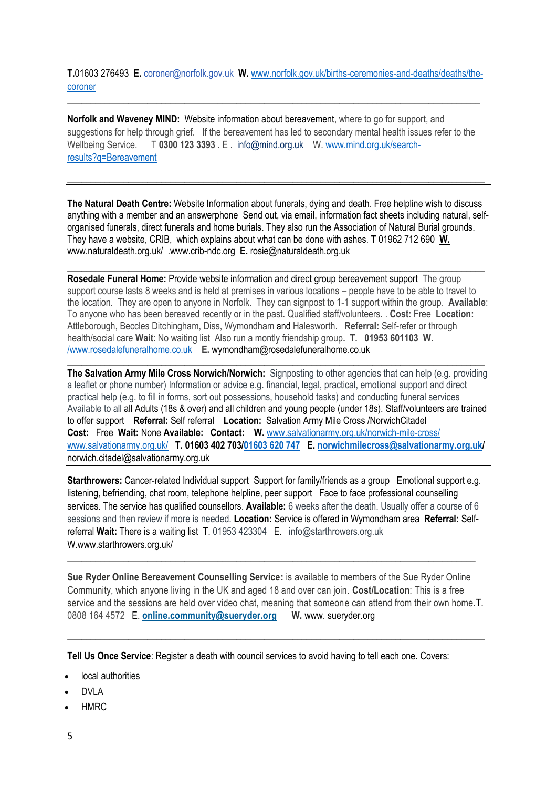**T.**01603 276493 **E.** [coroner@norfolk.gov.uk](mailto:coroner@norfolk.gov.uk) **W.** [www.norfolk.gov.uk/births-ceremonies-and-deaths/deaths/the](http://www.norfolk.gov.uk/births-ceremonies-and-deaths/deaths/the-coroner)[coroner](http://www.norfolk.gov.uk/births-ceremonies-and-deaths/deaths/the-coroner)

\_\_\_\_\_\_\_\_\_\_\_\_\_\_\_\_\_\_\_\_\_\_\_\_\_\_\_\_\_\_\_\_\_\_\_\_\_\_\_\_\_\_\_\_\_\_\_\_\_\_\_\_\_\_\_\_\_\_\_\_\_\_\_\_\_\_\_\_\_\_\_\_\_\_\_\_\_\_\_\_\_\_\_\_\_\_\_\_

**Norfolk and Waveney MIND:** Website information about bereavement, where to go for support, and suggestions for help through grief. If the bereavement has led to secondary mental health issues refer to the Wellbeing Service. T **0300 123 3393** . E . [info@mind.org.uk](mailto:info@mind.org.uk) W. [www.mind.org.uk/search](http://www.mind.org.uk/search-results?q=Bereavement)[results?q=Bereavement](http://www.mind.org.uk/search-results?q=Bereavement)

**\_\_\_\_\_\_\_\_\_\_\_\_\_\_\_\_\_\_\_\_\_\_\_\_\_\_\_\_\_\_\_\_\_\_\_\_\_\_\_\_\_\_\_\_\_\_\_\_\_\_\_\_\_\_\_\_\_\_\_\_\_\_\_\_\_\_\_\_\_\_\_\_\_\_\_\_\_\_\_\_\_\_\_\_\_\_\_\_\_**

**The Natural Death Centre:** Website Information about funerals, dying and death. Free helpline wish to discuss anything with a member and an answerphone Send out, via email, information fact sheets including natural, selforganised funerals, direct funerals and home burials. They also run the Association of Natural Burial grounds. They have a website, CRIB, which explains about what can be done with ashes. **T** 01962 712 690 **W.** www.naturaldeath.org.uk/ [.www.crib-ndc.org](http://www.crib-ndc.org/) **E.** rosie@naturaldeath.org.uk

**\_\_\_\_\_\_\_\_\_\_\_\_\_\_\_\_\_\_\_\_\_\_\_\_\_\_\_\_\_\_\_\_\_\_\_\_\_\_\_\_\_\_\_\_\_\_\_\_\_\_\_\_\_\_\_\_\_\_\_\_\_\_\_\_\_\_\_\_\_\_\_\_\_\_\_\_\_\_\_\_\_\_\_\_\_\_\_\_\_**

**Rosedale Funeral Home:** Provide website information and direct group bereavement support The group support course lasts 8 weeks and is held at premises in various locations – people have to be able to travel to the location. They are open to anyone in Norfolk. They can signpost to 1-1 support within the group. **Available**: To anyone who has been bereaved recently or in the past. Qualified staff/volunteers. . **Cost:** Free **Location:** Attleborough, Beccles Ditchingham, Diss, Wymondham and Halesworth. **Referral:** Self-refer or through health/social care **Wait**: No waiting list Also run a montly friendship group**. T. 01953 601103 W.** [/www.rosedalefuneralhome.co.uk](mailto:/www.rosedalefuneralhome.co.uk) **E.** [wymondham@rosedalefuneralhome.co.uk](mailto:wymondham@rosedalefuneralhome.co.uk)

**\_\_\_\_\_\_\_\_\_\_\_\_\_\_\_\_\_\_\_\_\_\_\_\_\_\_\_\_\_\_\_\_\_\_\_\_\_\_\_\_\_\_\_\_\_\_\_\_\_\_\_\_\_\_\_\_\_\_\_\_\_\_\_\_\_\_\_\_\_\_\_\_\_\_\_\_\_\_\_\_\_\_\_\_\_\_\_\_\_**

**The Salvation Army Mile Cross Norwich/Norwich:** Signposting to other agencies that can help (e.g. providing a leaflet or phone number) Information or advice e.g. financial, legal, practical, emotional support and direct practical help (e.g. to fill in forms, sort out possessions, household tasks) and conducting funeral services Available to all all Adults (18s & over) and all children and young people (under 18s). Staff/volunteers are trained to offer support **Referral:** Self referral **Location:** Salvation Army Mile Cross /NorwichCitadel **Cost:** Free **Wait:** None **Available: Contact: W.** [www.salvationarmy.org.uk/norwich-mile-cross/](http://www.salvationarmy.org.uk/norwich-mile-cross/) [www.salvationarmy.org.uk/](http://www.salvationarmy.org.uk/) **T. 01603 402 70[3/01603 620 747](tel:01603%20620747) E. [norwichmilecross@salvationarmy.org.uk/](mailto:norwichmilecross@salvationarmy.org.uk)**  [norwich.citadel@salvationarmy.org.uk](mailto:norwich.citadel@salvationarmy.org.uk)

**Starthrowers:** Cancer-related Individual support Support for family/friends as a group Emotional support e.g. listening, befriending, chat room, telephone helpline, peer support Face to face professional counselling services. The service has qualified counsellors. **Available:** 6 weeks after the death. Usually offer a course of 6 sessions and then review if more is needed. **Location:** Service is offered in Wymondham area **Referral:** Selfreferral **Wait:** There is a waiting list T. 01953 423304 E. info@starthrowers.org.uk W.www.starthrowers.org.uk/

\_\_\_\_\_\_\_\_\_\_\_\_\_\_\_\_\_\_\_\_\_\_\_\_\_\_\_\_\_\_\_\_\_\_\_\_\_\_\_\_\_\_\_\_\_\_\_\_\_\_\_\_\_\_\_\_\_\_\_\_\_\_\_\_\_\_\_\_\_\_\_\_\_\_\_\_\_\_\_\_\_\_\_\_\_\_\_

**Sue Ryder Online Bereavement Counselling Service:** is available to members of the Sue Ryder Online Community, which anyone living in the UK and aged 18 and over can join. **Cost/Location**: This is a free service and the sessions are held over video chat, meaning that someone can attend from their own home.T. 0808 164 4572 E. **[online.community@sueryder.org](mailto:online.community@sueryder.org) W.** www. sueryder.org

\_\_\_\_\_\_\_\_\_\_\_\_\_\_\_\_\_\_\_\_\_\_\_\_\_\_\_\_\_\_\_\_\_\_\_\_\_\_\_\_\_\_\_\_\_\_\_\_\_\_\_\_\_\_\_\_\_\_\_\_\_\_\_\_\_\_\_\_\_\_\_\_\_\_\_\_\_\_\_\_\_\_\_\_\_\_\_\_\_

**Tell Us Once Service**: Register a death with council services to avoid having to tell each one. Covers:

- local authorities
- DVLA
- HMRC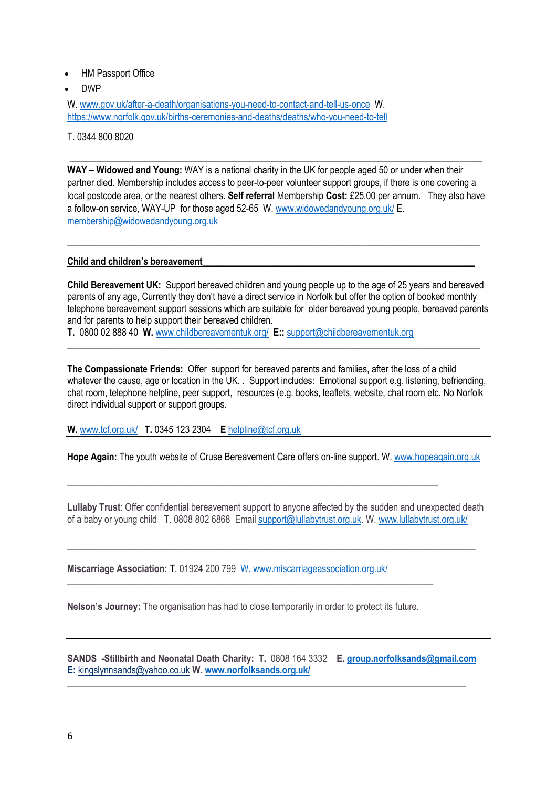- HM Passport Office
- DWP

W[. www.gov.uk/after-a-death/organisations-you-need-to-contact-and-tell-us-once](file:///C:/Users/Dell%20User/Downloads/www.gov.uk/after-a-death/organisations-you-need-to-contact-and-tell-us-once) W. <https://www.norfolk.gov.uk/births-ceremonies-and-deaths/deaths/who-you-need-to-tell>

T. 0344 800 8020

**WAY – Widowed and Young:** WAY is a national charity in the UK for people aged 50 or under when their partner died. Membership includes access to peer-to-peer volunteer support groups, if there is one covering a local postcode area, or the nearest others. **Self referral** Membership **Cost:** £25.00 per annum. They also have a follow-on service, WAY-UP for those aged 52-65 W[. www.widowedandyoung.org.uk/](http://www.widowedandyoung.org.uk/) E. [membership@widowedandyoung.org.uk](mailto:membership@widowedandyoung.org.uk)

\_\_\_\_\_\_\_\_\_\_\_\_\_\_\_\_\_\_\_\_\_\_\_\_\_\_\_\_\_\_\_\_\_\_\_\_\_\_\_\_\_\_\_\_\_\_\_\_\_\_\_\_\_\_\_\_\_\_\_\_\_\_\_\_\_\_\_\_\_\_\_\_\_\_\_\_\_\_\_\_\_\_\_\_\_\_\_\_

\_\_\_\_\_\_\_\_\_\_\_\_\_\_\_\_\_\_\_\_\_\_\_\_\_\_\_\_\_\_\_\_\_\_\_\_\_\_\_\_\_\_\_\_\_\_\_\_\_\_\_\_\_\_\_\_\_\_\_\_\_\_\_\_\_\_\_\_\_\_\_\_\_\_\_\_\_\_\_\_\_\_\_\_\_\_\_\_

#### **Child and children's bereavement\_\_\_\_\_\_\_\_\_\_\_\_\_\_\_\_\_\_\_\_\_\_\_\_\_\_\_\_\_\_\_\_\_\_\_\_\_\_\_\_\_\_\_\_\_\_\_\_\_\_\_\_\_\_\_\_\_\_**

**Child Bereavement UK:** Support bereaved children and young people up to the age of 25 years and bereaved parents of any age, Currently they don't have a direct service in Norfolk but offer the option of booked monthly telephone bereavement support sessions which are suitable for older bereaved young people, bereaved parents and for parents to help support their bereaved children.

**T.** 0800 02 888 40 **W.** [www.childbereavementuk.org/](http://www.childbereavementuk.org/) **E::** [support@childbereavementuk.org](mailto:support@childbereavementuk.org)

**The Compassionate Friends:** Offer support for bereaved parents and families, after the loss of a child whatever the cause, age or location in the UK. . Support includes: Emotional support e.g. listening, befriending, chat room, telephone helpline, peer support, resources (e.g. books, leaflets, website, chat room etc. No Norfolk direct individual support or support groups.

\_\_\_\_\_\_\_\_\_\_\_\_\_\_\_\_\_\_\_\_\_\_\_\_\_\_\_\_\_\_\_\_\_\_\_\_\_\_\_\_\_\_\_\_\_\_\_\_\_\_\_\_\_\_\_\_\_\_\_\_\_\_\_\_\_\_\_\_\_\_\_\_\_\_\_\_\_\_\_\_\_\_\_\_\_\_\_\_

**W.** [www.tcf.org.uk/](http://www.tcf.org.uk/) **T.** 0345 123 2304 **E** [helpline@tcf.org.uk](mailto:helpline@tcf.org.uk)

**Hope Again:** The youth website of Cruse Bereavement Care offers on-line support. W[. www.hopeagain.org.uk](file:///C:/Users/Dell%20User/Downloads/www.hopeagain.org.uk)

**\_\_\_\_\_\_\_\_\_\_\_\_\_\_\_\_\_\_\_\_\_\_\_\_\_\_\_\_\_\_\_\_\_\_\_\_\_\_\_\_\_\_\_\_\_\_\_\_\_\_\_\_\_\_\_\_\_\_\_\_\_\_\_\_\_\_\_\_\_\_\_\_\_\_\_\_\_\_\_**

**Lullaby Trust**: Offer confidential bereavement support to anyone affected by the sudden and unexpected death of a baby or young child T. 0808 802 6868 Email [support@lullabytrust.org.uk.](mailto:support@lullabytrust.org.uk) W[. www.lullabytrust.org.uk/](file:///C:/Users/Dell%20User/Downloads/www.lullabytrust.org.uk/)

\_\_\_\_\_\_\_\_\_\_\_\_\_\_\_\_\_\_\_\_\_\_\_\_\_\_\_\_\_\_\_\_\_\_\_\_\_\_\_\_\_\_\_\_\_\_\_\_\_\_\_\_\_\_\_\_\_\_\_\_\_\_\_\_\_\_\_\_\_\_\_\_\_\_\_\_\_\_\_\_\_\_\_\_\_\_\_

**Miscarriage Association:** T. 01924 200 799 W. www.miscarriageassociation.org.uk/

**Nelson's Journey:** The organisation has had to close temporarily in order to protect its future.

**\_\_\_\_\_\_\_\_\_\_\_\_\_\_\_\_\_\_\_\_\_\_\_\_\_\_\_\_\_\_\_\_\_\_\_\_\_\_\_\_\_\_\_\_\_\_\_\_\_\_\_\_\_\_\_\_\_\_\_\_\_\_\_\_\_\_\_\_\_\_\_\_\_\_\_\_\_\_**

**SANDS -Stillbirth and Neonatal Death Charity: T.** 0808 164 3332 **E. [group.norfolksands@gmail.com](mailto:group.norfolksands@gmail.com)  E:** [kingslynnsands@yahoo.co.uk](mailto:kingslynnsands@yahoo.co.uk) **W. [www.norfolksands.org.uk/](http://www.norfolksands.org.uk/) \_\_\_\_\_\_\_\_\_\_\_\_\_\_\_\_\_\_\_\_\_\_\_\_\_\_\_\_\_\_\_\_\_\_\_\_\_\_\_\_\_\_\_\_\_\_\_\_\_\_\_\_\_\_\_\_\_\_\_\_\_\_\_\_\_\_\_\_\_\_\_\_\_\_\_\_\_\_\_\_\_\_\_\_\_**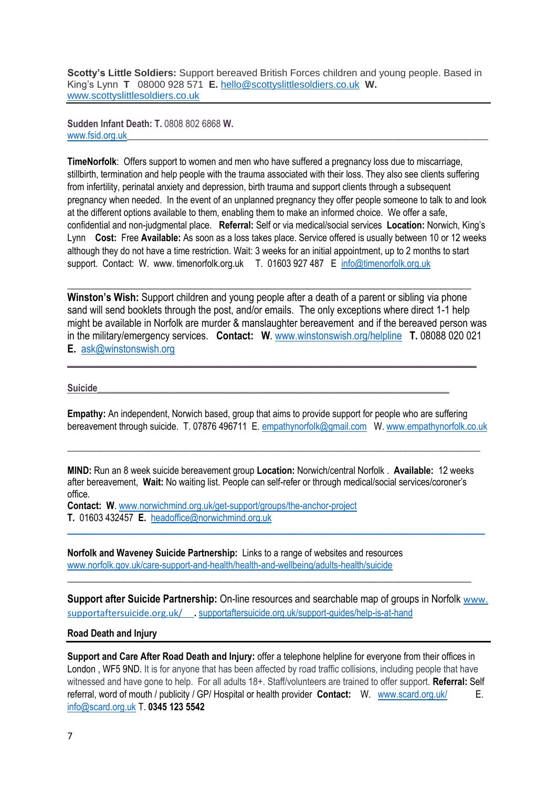**Scotty's Little Soldiers:** Support bereaved British Forces children and young people. Based in King's Lynn **T** 08000 928 571 **E.** [hello@scottyslittlesoldiers.co.uk](mailto:hello@scottyslittlesoldiers.co.uk) **W.** [www.scottyslittlesoldiers.co.uk](http://www.scottyslittlesoldiers.co.uk/)

**Sudden Infant Death: T.** 0808 802 6868 **W.** [www.fsid.org.uk](http://www.fsid.org.uk/)

**TimeNorfolk**: Offers support to women and men who have suffered a pregnancy loss due to miscarriage, stillbirth, termination and help people with the trauma associated with their loss. They also see clients suffering from infertility, perinatal anxiety and depression, birth trauma and support clients through a subsequent pregnancy when needed. In the event of an unplanned pregnancy they offer people someone to talk to and look at the different options available to them, enabling them to make an informed choice. We offer a safe, confidential and non-judgmental place. **Referral:** Self or via medical/social services **Location:** Norwich, King's Lynn **Cost:** Free **Available:** As soon as a loss takes place. Service offered is usually between 10 or 12 weeks although they do not have a time restriction. Wait: 3 weeks for an initial appointment, up to 2 months to start support. Contact: W. www. timenorfolk.org.uk T. 01603 927 487 E [info@timenorfolk.org.uk](mailto:info@timenorfolk.org.uk)

**Winston's Wish:** Support children and young people after a death of a parent or sibling via phone sand will send booklets through the post, and/or emails. The only exceptions where direct 1-1 help might be available in Norfolk are murder & manslaughter bereavement  and if the bereaved person was in the military/emergency services. **Contact: W**. [www.winstonswish.org/helpline](http://www.winstonswish.org/helpline) **T.** 08088 020 021 **E.** [ask@winstonswish.org](mailto:ask@winstonswish.org)

\_\_\_\_\_\_\_\_\_\_\_\_\_\_\_\_\_\_\_\_\_\_\_\_\_\_\_\_\_\_\_\_\_\_\_\_\_\_\_\_\_\_\_\_\_\_\_\_\_\_\_\_\_\_\_\_\_\_\_\_\_\_\_\_\_\_\_\_\_\_\_\_\_\_\_\_\_\_\_\_

**\_\_\_\_\_\_\_\_\_\_\_\_\_\_\_\_\_\_\_\_\_\_\_\_\_\_\_\_\_\_\_\_\_\_\_\_\_\_\_\_\_\_\_\_\_\_\_\_\_\_\_\_\_\_\_\_\_\_\_\_\_\_\_\_\_\_\_\_\_\_\_\_\_\_\_\_\_\_\_**

#### **Suicide\_\_\_\_\_\_\_\_\_\_\_\_\_\_\_\_\_\_\_\_\_\_\_\_\_\_\_\_\_\_\_\_\_\_\_\_\_\_\_\_\_\_\_\_\_\_\_\_\_\_\_\_\_\_\_\_\_\_\_\_\_\_\_\_\_\_\_\_\_\_\_\_\_\_\_**

**Empathy:** An independent, Norwich based, group that aims to provide support for people who are suffering bereavement through suicide. T. 07876 496711 E. [empathynorfolk@gmail.com](mailto:empathynorfolk@gmail.com) W. [www.empathynorfolk.co.uk](http://www.empathynorfolk.co.uk/)

**MIND:** Run an 8 week suicide bereavement group **Location:** Norwich/central Norfolk . **Available:** 12 weeks after bereavement, **Wait:** No waiting list. People can self-refer or through medical/social services/coroner's office.

**\_\_\_\_\_\_\_\_\_\_\_\_\_\_\_\_\_\_\_\_\_\_\_\_\_\_\_\_\_\_\_\_\_\_\_\_\_\_\_\_\_\_\_\_\_\_\_\_\_\_\_\_\_\_\_\_\_\_\_\_\_\_\_\_\_\_\_\_\_\_\_\_\_\_\_\_\_\_\_\_\_\_\_\_\_\_\_\_**

**Contact: W**. [www.norwichmind.org.uk/get-support/groups/the-anchor-project](http://www.norwichmind.org.uk/get-support/groups/the-anchor-project)

**T.** 01603 432457 **E.** [headoffice@norwichmind.org.uk](mailto:headoffice@norwichmind.org.uk)  $\_$  , and the set of the set of the set of the set of the set of the set of the set of the set of the set of the set of the set of the set of the set of the set of the set of the set of the set of the set of the set of th

**Norfolk and Waveney Suicide Partnership:** Links to a range of websites and resources [www.norfolk.gov.uk/care-support-and-health/health-and-wellbeing/adults-health/suicide](file:///C:/Users/Dell%20User/Downloads/www.norfolk.gov.uk/care-support-and-health/health-and-wellbeing/adults-health/suicide)

**Support after Suicide Partnership:** On-line resources and searchable map of groups in Norfolk [www.](https://supportaftersuicide.org.uk/)  [supportaftersuicide.org.uk/](https://supportaftersuicide.org.uk/) **.** [supportaftersuicide.org.uk/support-guides/help-is-at-hand](https://supportaftersuicide.org.uk/support-guides/help-is-at-hand)

**\_\_\_\_\_\_\_\_\_\_\_\_\_\_\_\_\_\_\_\_\_\_\_\_\_\_\_\_\_\_\_\_\_\_\_\_\_\_\_\_\_\_\_\_\_\_\_\_\_\_\_\_\_\_\_\_\_\_\_\_\_\_\_\_\_\_\_\_\_\_\_\_\_\_\_\_\_\_\_**

### **Road Death and Injury**

**Support and Care After Road Death and Injury:** offer a telephone helpline for everyone from their offices in London , WF5 9ND. It is for anyone that has been affected by road traffic collisions, including people that have witnessed and have gone to help. For all adults 18+. Staff/volunteers are trained to offer support. **Referral:** Self referral, word of mouth / publicity / GP/ Hospital or health provider **Contact:** W. [www.scard.org.uk/](http://www.scard.org.uk/) E. [info@scard.org.uk](mailto:info@scard.org.uk) T. **0345 123 5542**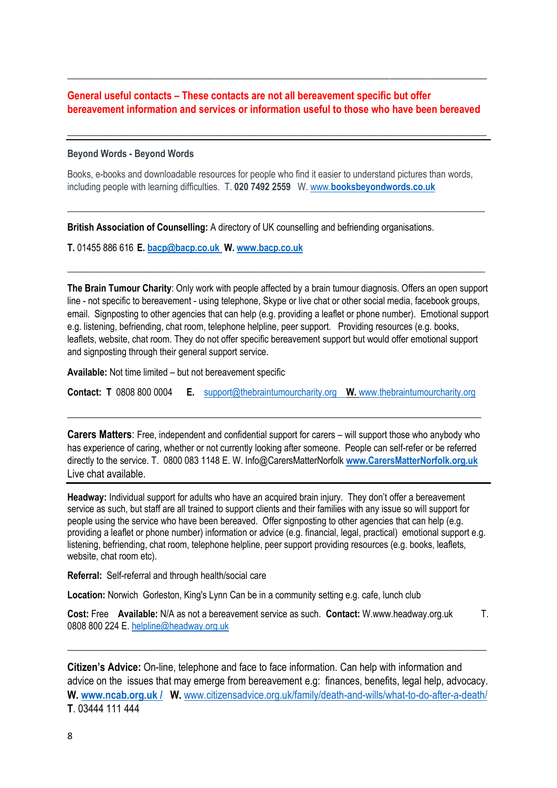# **General useful contacts – These contacts are not all bereavement specific but offer bereavement information and services or information useful to those who have been bereaved**

\_\_\_\_\_\_\_\_\_\_\_\_\_\_\_\_\_\_\_\_\_\_\_\_\_\_\_\_\_\_\_\_\_\_\_\_\_\_\_\_\_\_\_\_\_\_\_\_\_\_\_\_\_\_\_\_\_\_\_\_\_\_\_\_\_\_\_\_\_\_\_\_\_\_\_\_\_\_\_\_\_\_

\_\_\_\_\_\_\_\_\_\_\_\_\_\_\_\_\_\_\_\_\_\_\_\_\_\_\_\_\_\_\_\_\_\_\_\_\_\_\_\_\_\_\_\_\_\_\_\_\_\_\_\_\_\_\_\_\_\_\_\_\_\_\_\_\_\_\_\_\_\_\_\_\_\_\_\_\_\_\_\_\_\_

### **Beyond Words - Beyond Words**

Books, e-books and downloadable resources for people who find it easier to understand pictures than words, including people with learning difficulties. T. **020 7492 2559** W. www.**[booksbeyondwords.co.uk](file:///C:/Users/Dell%20User/Downloads/www.booksbeyondwords.co.uk)** 

**\_\_\_\_\_\_\_\_\_\_\_\_\_\_\_\_\_\_\_\_\_\_\_\_\_\_\_\_\_\_\_\_\_\_\_\_\_\_\_\_\_\_\_\_\_\_\_\_\_\_\_\_\_\_\_\_\_\_\_\_\_\_\_\_\_\_\_\_\_\_\_\_\_\_\_\_\_\_\_\_\_\_\_\_\_\_\_\_\_**

**\_\_\_\_\_\_\_\_\_\_\_\_\_\_\_\_\_\_\_\_\_\_\_\_\_\_\_\_\_\_\_\_\_\_\_\_\_\_\_\_\_\_\_\_\_\_\_\_\_\_\_\_\_\_\_\_\_\_\_\_\_\_\_\_\_\_\_\_\_\_\_\_\_\_\_\_\_\_\_\_\_\_\_\_\_\_\_\_\_**

**British Association of Counselling:** A directory of UK counselling and befriending organisations.

**T.** 01455 886 616 **E[. bacp@bacp.co.uk](mailto:bacp@bacp.co.uk) W. [www.bacp.co.uk](http://www.bacp.co.uk/)**

**The Brain Tumour Charity**: Only work with people affected by a brain tumour diagnosis. Offers an open support line - not specific to bereavement - using telephone, Skype or live chat or other social media, facebook groups, email. Signposting to other agencies that can help (e.g. providing a leaflet or phone number). Emotional support e.g. listening, befriending, chat room, telephone helpline, peer support. Providing resources (e.g. books, leaflets, website, chat room. They do not offer specific bereavement support but would offer emotional support and signposting through their general support service.

**Available:** Not time limited – but not bereavement specific

**Contact: T** 0808 800 0004 **E.** [support@thebraintumourcharity.org](mailto:support@thebraintumourcharity.org) **W.** [www.thebraintumourcharity.org](http://www.thebraintumourcharity.org/) 

\_\_\_\_\_\_\_\_\_\_\_\_\_\_\_\_\_\_\_\_\_\_\_\_\_\_\_\_\_\_\_\_\_\_\_\_\_\_\_\_\_\_\_\_\_\_\_\_\_\_\_\_\_\_\_\_\_\_\_\_\_\_\_\_\_\_\_\_\_\_\_\_\_\_\_\_\_\_\_\_\_

**Carers Matters**: Free, independent and confidential support for carers – will support those who anybody who has experience of caring, whether or not currently looking after someone. People can self-refer or be referred directly to the service. T. 0800 083 1148 E. W. Info@CarersMatterNorfolk **[www.CarersMatterNorfolk.org.uk](http://www.carersmatternorfolk.org.uk/)**  Live chat available.

**Headway:** Individual support for adults who have an acquired brain injury. They don't offer a bereavement service as such, but staff are all trained to support clients and their families with any issue so will support for people using the service who have been bereaved. Offer signposting to other agencies that can help (e.g. providing a leaflet or phone number) information or advice (e.g. financial, legal, practical) emotional support e.g. listening, befriending, chat room, telephone helpline, peer support providing resources (e.g. books, leaflets, website, chat room etc).

**Referral:** Self-referral and through health/social care

**Location:** Norwich Gorleston, King's Lynn Can be in a community setting e.g. cafe, lunch club

**Cost:** Free **Available:** N/A as not a bereavement service as such. **Contact:** W.www.headway.org.uk T. 0808 800 224 E[. helpline@headway.org.uk](mailto:helpline@headway.org.uk)

\_\_\_\_\_\_\_\_\_\_\_\_\_\_\_\_\_\_\_\_\_\_\_\_\_\_\_\_\_\_\_\_\_\_\_\_\_\_\_\_\_\_\_\_\_\_\_\_\_\_\_\_\_\_\_\_\_\_\_\_\_\_\_\_\_\_\_\_\_\_\_\_\_\_\_\_\_\_\_\_\_\_

**Citizen's Advice:** On-line, telephone and face to face information. Can help with information and advice on the issues that may emerge from bereavement e.g: finances, benefits, legal help, advocacy. **W. www.ncab.org.uk / W.** [www.citizensadvice.org.uk/family/death-and-wills/what-to-do-after-a-death/](http://www.citizensadvice.org.uk/family/death-and-wills/what-to-do-after-a-death/) **T**. 03444 111 444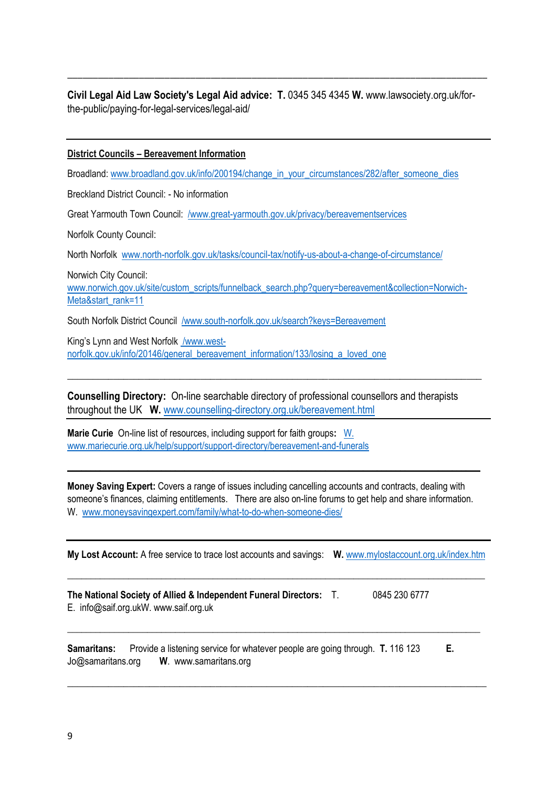**Civil Legal Aid Law Society's Legal Aid advice: T.** 0345 345 4345 **W.** www.lawsociety.org.uk/forthe-public/paying-for-legal-services/legal-aid/

\_\_\_\_\_\_\_\_\_\_\_\_\_\_\_\_\_\_\_\_\_\_\_\_\_\_\_\_\_\_\_\_\_\_\_\_\_\_\_\_\_\_\_\_\_\_\_\_\_\_\_\_\_\_\_\_\_\_\_\_\_\_\_\_\_\_\_\_\_\_\_\_\_\_\_\_\_\_\_\_\_\_

## **District Councils – Bereavement Information**

Broadland: [www.broadland.gov.uk/info/200194/change\\_in\\_your\\_circumstances/282/after\\_someone\\_dies](http://www.broadland.gov.uk/info/200194/change_in_your_circumstances/282/after_someone_dies)

Breckland District Council: - No information

Great Yarmouth Town Council: [/www.great-yarmouth.gov.uk/privacy/bereavementservices](https://www.great-yarmouth.gov.uk/privacy/bereavementservices)

Norfolk County Council:

North Norfolk [www.north-norfolk.gov.uk/tasks/council-tax/notify-us-about-a-change-of-circumstance/](http://www.north-norfolk.gov.uk/tasks/council-tax/notify-us-about-a-change-of-circumstance/) 

Norwich City Council: [www.norwich.gov.uk/site/custom\\_scripts/funnelback\\_search.php?query=bereavement&collection=Norwich-](http://www.norwich.gov.uk/site/custom_scripts/funnelback_search.php?query=bereavement&collection=Norwich-Meta&start_rank=11)[Meta&start\\_rank=11](http://www.norwich.gov.uk/site/custom_scripts/funnelback_search.php?query=bereavement&collection=Norwich-Meta&start_rank=11)

South Norfolk District Council [/www.south-norfolk.gov.uk/search?keys=Bereavement](https://www.south-norfolk.gov.uk/search?keys=Bereavement)

King's Lynn and West Norfolk [/www.west](https://www.west-norfolk.gov.uk/info/20146/general_bereavement_information/133/losing_a_loved_one)[norfolk.gov.uk/info/20146/general\\_bereavement\\_information/133/losing\\_a\\_loved\\_one](https://www.west-norfolk.gov.uk/info/20146/general_bereavement_information/133/losing_a_loved_one)

**Counselling Directory:** On-line searchable directory of professional counsellors and therapists throughout the UK **W.** [www.counselling-directory.org.uk/bereavement.html](http://www.counselling-directory.org.uk/bereavement.html)

\_\_\_\_\_\_\_\_\_\_\_\_\_\_\_\_\_\_\_\_\_\_\_\_\_\_\_\_\_\_\_\_\_\_\_\_\_\_\_\_\_\_\_\_\_\_\_\_\_\_\_\_\_\_\_\_\_\_\_\_\_\_\_\_\_\_\_\_\_\_\_\_\_\_\_\_\_\_\_\_\_

**Marie Curie** On-line list of resources, including support for faith groups**:** [W.](file:///C:/Users/Dell%20User/Downloads/W.%20%20www.mariecurie.org.uk/help/support/support-directory/bereavement-and-funerals)  [www.mariecurie.org.uk/help/support/support-directory/bereavement-and-funerals](file:///C:/Users/Dell%20User/Downloads/W.%20%20www.mariecurie.org.uk/help/support/support-directory/bereavement-and-funerals)

**Money Saving Expert:** Covers a range of issues including cancelling accounts and contracts, dealing with someone's finances, claiming entitlements. There are also on-line forums to get help and share information. W. [www.moneysavingexpert.com/family/what-to-do-when-someone-dies/](http://www.moneysavingexpert.com/family/what-to-do-when-someone-dies/)

\_\_\_\_\_\_\_\_\_\_\_\_\_\_\_\_\_\_\_\_\_\_\_\_\_\_\_\_\_\_\_\_\_\_\_\_\_\_\_\_\_\_\_\_\_\_\_\_\_\_\_\_\_\_\_\_\_\_\_\_\_\_\_\_\_\_\_\_\_\_\_\_\_\_\_\_\_\_\_\_\_\_\_\_\_\_\_\_

**My Lost Account:** A free service to trace lost accounts and savings: **W.** [www.mylostaccount.org.uk/index.htm](http://www.mylostaccount.org.uk/index.htm)

**\_\_\_\_\_\_\_\_\_\_\_\_\_\_\_\_\_\_\_\_\_\_\_\_\_\_\_\_\_\_\_\_\_\_\_\_\_\_\_\_\_\_\_\_\_\_\_\_\_\_\_\_\_\_\_\_\_\_\_\_\_\_\_\_\_\_\_\_\_\_\_\_\_\_\_\_\_\_\_\_\_\_\_\_\_\_\_\_\_**

**\_\_\_\_\_\_\_\_\_\_\_\_\_\_\_\_\_\_\_\_\_\_\_\_\_\_\_\_\_\_\_\_\_\_\_\_\_\_\_\_\_\_\_\_\_\_\_\_\_\_\_\_\_\_\_\_\_\_\_\_\_\_\_\_\_\_\_\_\_\_\_\_\_\_\_\_\_\_\_\_\_\_\_\_\_\_\_\_**

\_\_\_\_\_\_\_\_\_\_\_\_\_\_\_\_\_\_\_\_\_\_\_\_\_\_\_\_\_\_\_\_\_\_\_\_\_\_\_\_\_\_\_\_\_\_\_\_\_\_\_\_\_\_\_\_\_\_\_\_\_\_\_\_\_\_\_\_\_\_\_\_\_\_\_\_\_\_\_\_\_\_

**The National Society of Allied & Independent Funeral Directors:** T. 0845 230 6777 E. info@saif.org.ukW. www.saif.org.uk

**Samaritans:** Provide a listening service for whatever people are going through. **T.** 116 123 **E.** Jo@samaritans.org **W**. www.samaritans.org